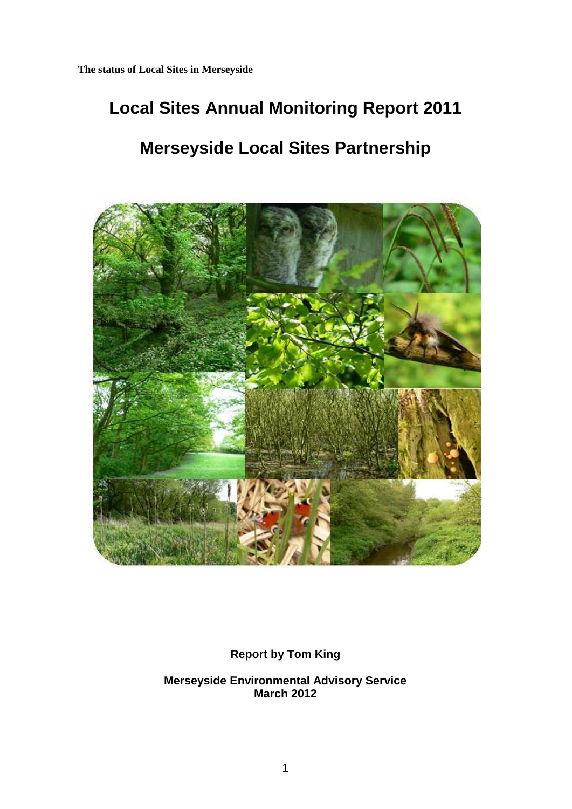# **Local Sites Annual Monitoring Report 2011**

# **Merseyside Local Sites Partnership**



**Report by Tom King**

**Merseyside Environmental Advisory Service March 2012**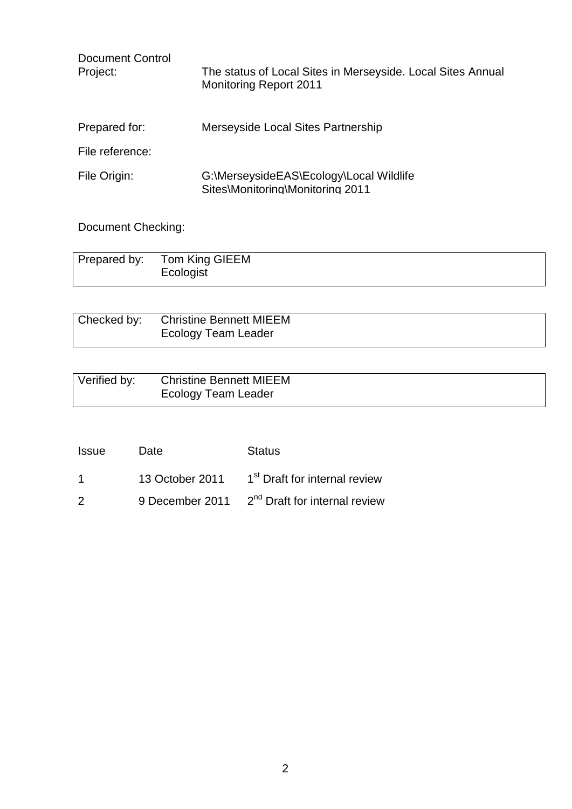| <b>Document Control</b><br>Project: | The status of Local Sites in Merseyside. Local Sites Annual<br><b>Monitoring Report 2011</b> |
|-------------------------------------|----------------------------------------------------------------------------------------------|
| Prepared for:                       | Merseyside Local Sites Partnership                                                           |
| File reference:                     |                                                                                              |
| File Origin:                        | G:\MerseysideEAS\Ecology\Local Wildlife<br>Sites\Monitoring\Monitoring 2011                  |

Document Checking:

| Prepared by: Tom King GIEEM<br>Ecologist |
|------------------------------------------|
|                                          |

| Checked by: Christine Bennett MIEEM |
|-------------------------------------|
| <b>Ecology Team Leader</b>          |

| Verified by: | <b>Christine Bennett MIEEM</b> |
|--------------|--------------------------------|
|              | <b>Ecology Team Leader</b>     |

| Issue | Date | <b>Status</b>                                             |
|-------|------|-----------------------------------------------------------|
|       |      | 13 October 2011 1 <sup>st</sup> Draft for internal review |
| - 2   |      | 9 December 2011 2 <sup>nd</sup> Draft for internal review |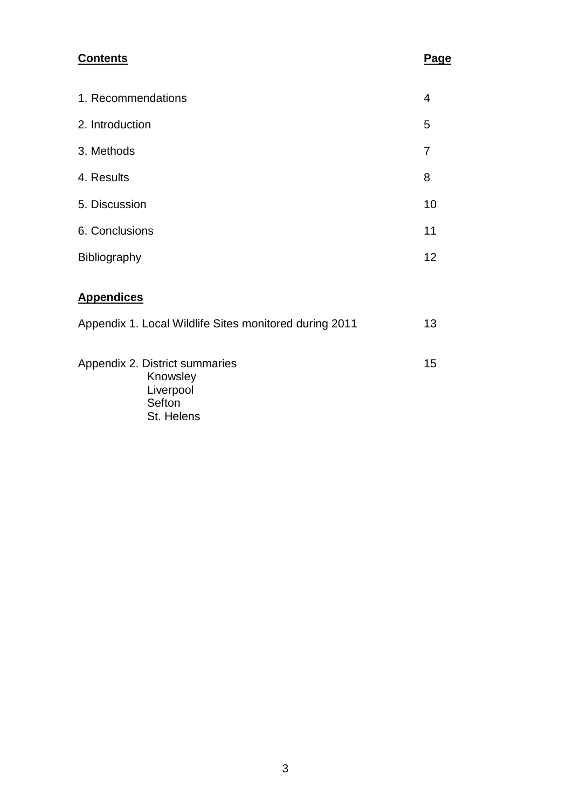# **Contents Page**

| 4  |
|----|
| 5  |
| 7  |
| 8  |
| 10 |
| 11 |
| 12 |
|    |
| 13 |
| 15 |
|    |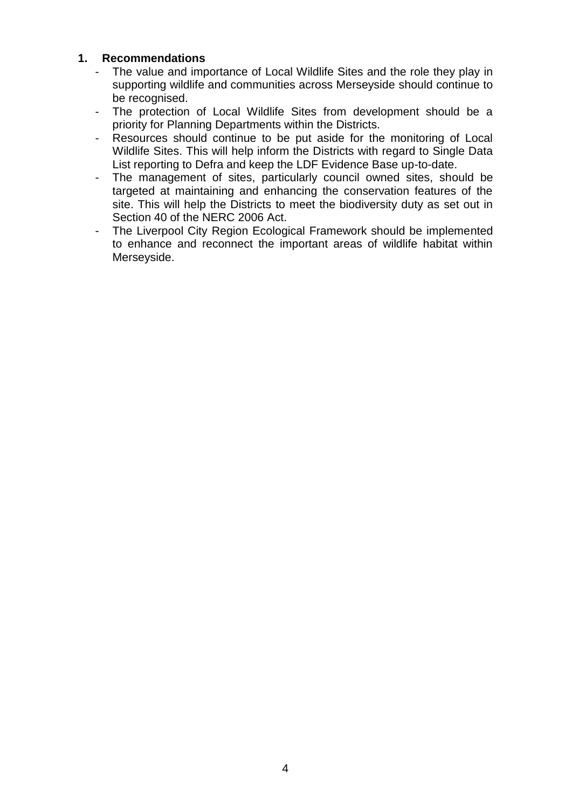#### **1. Recommendations**

- The value and importance of Local Wildlife Sites and the role they play in supporting wildlife and communities across Merseyside should continue to be recognised.
- The protection of Local Wildlife Sites from development should be a priority for Planning Departments within the Districts.
- Resources should continue to be put aside for the monitoring of Local Wildlife Sites. This will help inform the Districts with regard to Single Data List reporting to Defra and keep the LDF Evidence Base up-to-date.
- The management of sites, particularly council owned sites, should be targeted at maintaining and enhancing the conservation features of the site. This will help the Districts to meet the biodiversity duty as set out in Section 40 of the NERC 2006 Act.
- The Liverpool City Region Ecological Framework should be implemented to enhance and reconnect the important areas of wildlife habitat within Merseyside.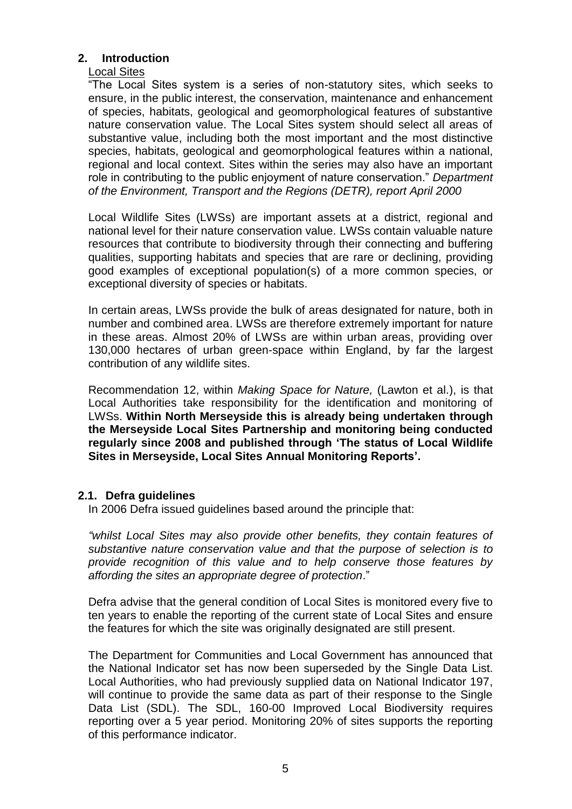# **2. Introduction**

# Local Sites

"The Local Sites system is a series of non-statutory sites, which seeks to ensure, in the public interest, the conservation, maintenance and enhancement of species, habitats, geological and geomorphological features of substantive nature conservation value. The Local Sites system should select all areas of substantive value, including both the most important and the most distinctive species, habitats, geological and geomorphological features within a national, regional and local context. Sites within the series may also have an important role in contributing to the public enjoyment of nature conservation." *Department of the Environment, Transport and the Regions (DETR), report April 2000*

Local Wildlife Sites (LWSs) are important assets at a district, regional and national level for their nature conservation value. LWSs contain valuable nature resources that contribute to biodiversity through their connecting and buffering qualities, supporting habitats and species that are rare or declining, providing good examples of exceptional population(s) of a more common species, or exceptional diversity of species or habitats.

In certain areas, LWSs provide the bulk of areas designated for nature, both in number and combined area. LWSs are therefore extremely important for nature in these areas. Almost 20% of LWSs are within urban areas, providing over 130,000 hectares of urban green-space within England, by far the largest contribution of any wildlife sites.

Recommendation 12, within *Making Space for Nature,* (Lawton et al.), is that Local Authorities take responsibility for the identification and monitoring of LWSs. **Within North Merseyside this is already being undertaken through the Merseyside Local Sites Partnership and monitoring being conducted regularly since 2008 and published through 'The status of Local Wildlife Sites in Merseyside, Local Sites Annual Monitoring Reports'.**

#### **2.1. Defra guidelines**

In 2006 Defra issued guidelines based around the principle that:

*"whilst Local Sites may also provide other benefits, they contain features of substantive nature conservation value and that the purpose of selection is to provide recognition of this value and to help conserve those features by affording the sites an appropriate degree of protection*."

Defra advise that the general condition of Local Sites is monitored every five to ten years to enable the reporting of the current state of Local Sites and ensure the features for which the site was originally designated are still present.

The Department for Communities and Local Government has announced that the National Indicator set has now been superseded by the Single Data List. Local Authorities, who had previously supplied data on National Indicator 197, will continue to provide the same data as part of their response to the Single Data List (SDL). The SDL, 160-00 Improved Local Biodiversity requires reporting over a 5 year period. Monitoring 20% of sites supports the reporting of this performance indicator.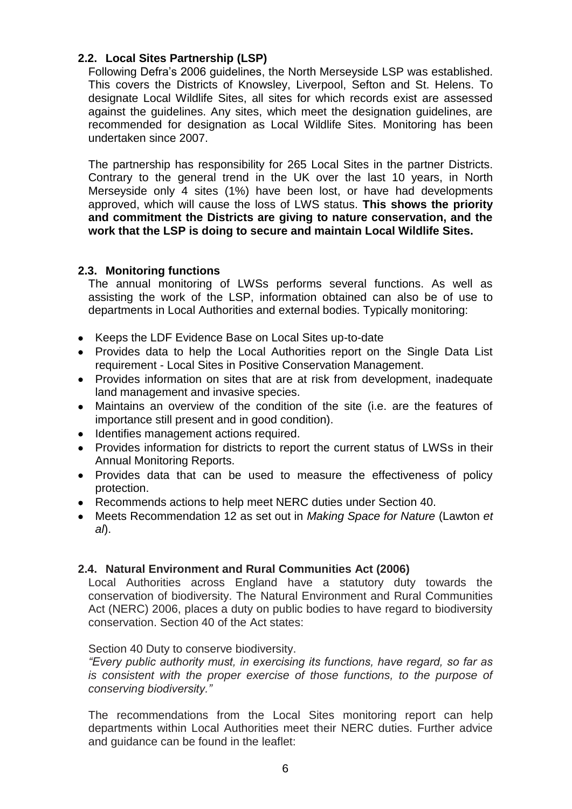# **2.2. Local Sites Partnership (LSP)**

Following Defra's 2006 guidelines, the North Merseyside LSP was established. This covers the Districts of Knowsley, Liverpool, Sefton and St. Helens. To designate Local Wildlife Sites, all sites for which records exist are assessed against the guidelines. Any sites, which meet the designation guidelines, are recommended for designation as Local Wildlife Sites. Monitoring has been undertaken since 2007.

The partnership has responsibility for 265 Local Sites in the partner Districts. Contrary to the general trend in the UK over the last 10 years, in North Merseyside only 4 sites (1%) have been lost, or have had developments approved, which will cause the loss of LWS status. **This shows the priority and commitment the Districts are giving to nature conservation, and the work that the LSP is doing to secure and maintain Local Wildlife Sites.** 

#### **2.3. Monitoring functions**

The annual monitoring of LWSs performs several functions. As well as assisting the work of the LSP, information obtained can also be of use to departments in Local Authorities and external bodies. Typically monitoring:

- Keeps the LDF Evidence Base on Local Sites up-to-date
- Provides data to help the Local Authorities report on the Single Data List requirement - Local Sites in Positive Conservation Management.
- Provides information on sites that are at risk from development, inadequate land management and invasive species.
- Maintains an overview of the condition of the site (i.e. are the features of importance still present and in good condition).
- Identifies management actions required.
- Provides information for districts to report the current status of LWSs in their Annual Monitoring Reports.
- Provides data that can be used to measure the effectiveness of policy protection.
- Recommends actions to help meet NERC duties under Section 40.
- Meets Recommendation 12 as set out in *Making Space for Nature* (Lawton *et al*).

# **2.4. Natural Environment and Rural Communities Act (2006)**

Local Authorities across England have a statutory duty towards the conservation of biodiversity. The Natural Environment and Rural Communities Act (NERC) 2006, places a duty on public bodies to have regard to biodiversity conservation. Section 40 of the Act states:

Section 40 Duty to conserve biodiversity.

*"Every public authority must, in exercising its functions, have regard, so far as is consistent with the proper exercise of those functions, to the purpose of conserving biodiversity."* 

The recommendations from the Local Sites monitoring report can help departments within Local Authorities meet their NERC duties. Further advice and guidance can be found in the leaflet: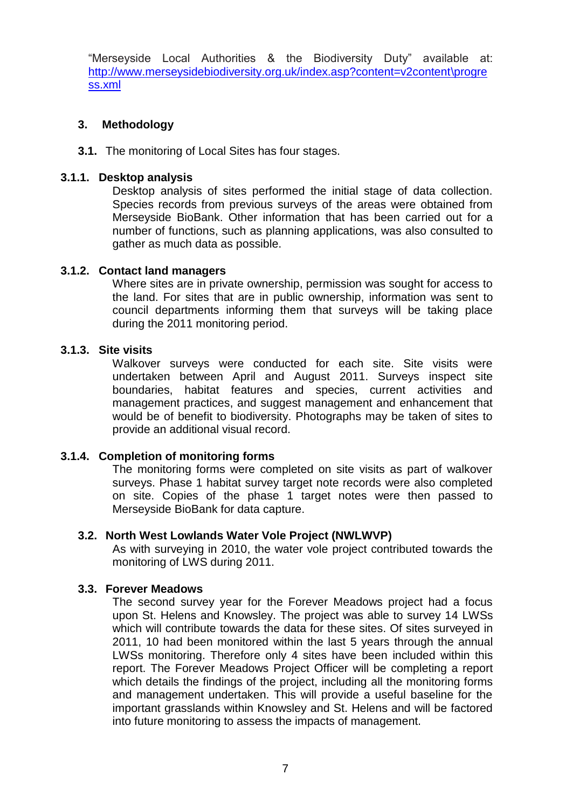"Merseyside Local Authorities & the Biodiversity Duty" available at: [http://www.merseysidebiodiversity.org.uk/index.asp?content=v2content\progre](http://www.merseysidebiodiversity.org.uk/index.asp?content=v2content/progress.xml) [ss.xml](http://www.merseysidebiodiversity.org.uk/index.asp?content=v2content/progress.xml)

# **3. Methodology**

**3.1.** The monitoring of Local Sites has four stages.

# **3.1.1. Desktop analysis**

Desktop analysis of sites performed the initial stage of data collection. Species records from previous surveys of the areas were obtained from Merseyside BioBank. Other information that has been carried out for a number of functions, such as planning applications, was also consulted to gather as much data as possible.

#### **3.1.2. Contact land managers**

Where sites are in private ownership, permission was sought for access to the land. For sites that are in public ownership, information was sent to council departments informing them that surveys will be taking place during the 2011 monitoring period.

#### **3.1.3. Site visits**

Walkover surveys were conducted for each site. Site visits were undertaken between April and August 2011. Surveys inspect site boundaries, habitat features and species, current activities and management practices, and suggest management and enhancement that would be of benefit to biodiversity. Photographs may be taken of sites to provide an additional visual record.

#### **3.1.4. Completion of monitoring forms**

The monitoring forms were completed on site visits as part of walkover surveys. Phase 1 habitat survey target note records were also completed on site. Copies of the phase 1 target notes were then passed to Merseyside BioBank for data capture.

#### **3.2. North West Lowlands Water Vole Project (NWLWVP)**

As with surveying in 2010, the water vole project contributed towards the monitoring of LWS during 2011.

# **3.3. Forever Meadows**

The second survey year for the Forever Meadows project had a focus upon St. Helens and Knowsley. The project was able to survey 14 LWSs which will contribute towards the data for these sites. Of sites surveyed in 2011, 10 had been monitored within the last 5 years through the annual LWSs monitoring. Therefore only 4 sites have been included within this report. The Forever Meadows Project Officer will be completing a report which details the findings of the project, including all the monitoring forms and management undertaken. This will provide a useful baseline for the important grasslands within Knowsley and St. Helens and will be factored into future monitoring to assess the impacts of management.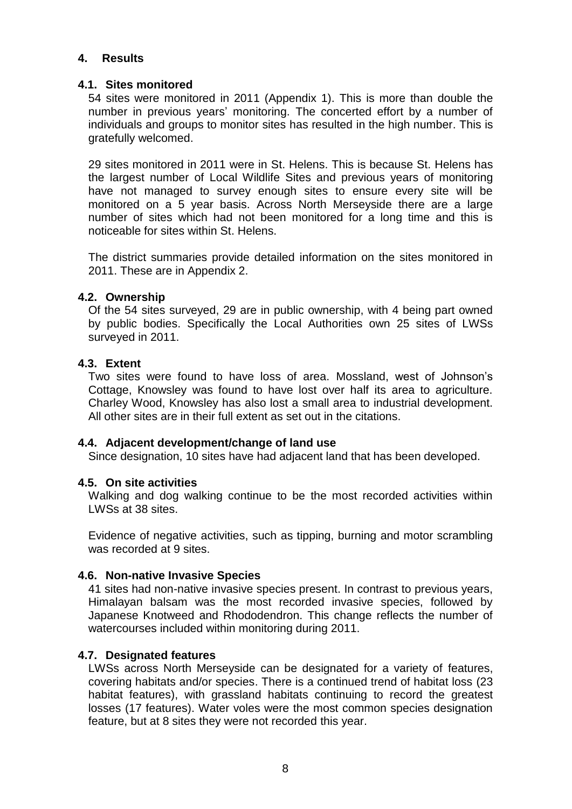#### **4. Results**

#### **4.1. Sites monitored**

54 sites were monitored in 2011 (Appendix 1). This is more than double the number in previous years' monitoring. The concerted effort by a number of individuals and groups to monitor sites has resulted in the high number. This is gratefully welcomed.

29 sites monitored in 2011 were in St. Helens. This is because St. Helens has the largest number of Local Wildlife Sites and previous years of monitoring have not managed to survey enough sites to ensure every site will be monitored on a 5 year basis. Across North Merseyside there are a large number of sites which had not been monitored for a long time and this is noticeable for sites within St. Helens.

The district summaries provide detailed information on the sites monitored in 2011. These are in Appendix 2.

#### **4.2. Ownership**

Of the 54 sites surveyed, 29 are in public ownership, with 4 being part owned by public bodies. Specifically the Local Authorities own 25 sites of LWSs surveyed in 2011.

#### **4.3. Extent**

Two sites were found to have loss of area. Mossland, west of Johnson's Cottage, Knowsley was found to have lost over half its area to agriculture. Charley Wood, Knowsley has also lost a small area to industrial development. All other sites are in their full extent as set out in the citations.

#### **4.4. Adjacent development/change of land use**

Since designation, 10 sites have had adjacent land that has been developed.

#### **4.5. On site activities**

Walking and dog walking continue to be the most recorded activities within LWSs at 38 sites.

Evidence of negative activities, such as tipping, burning and motor scrambling was recorded at 9 sites.

#### **4.6. Non-native Invasive Species**

41 sites had non-native invasive species present. In contrast to previous years, Himalayan balsam was the most recorded invasive species, followed by Japanese Knotweed and Rhododendron. This change reflects the number of watercourses included within monitoring during 2011.

#### **4.7. Designated features**

LWSs across North Merseyside can be designated for a variety of features, covering habitats and/or species. There is a continued trend of habitat loss (23 habitat features), with grassland habitats continuing to record the greatest losses (17 features). Water voles were the most common species designation feature, but at 8 sites they were not recorded this year.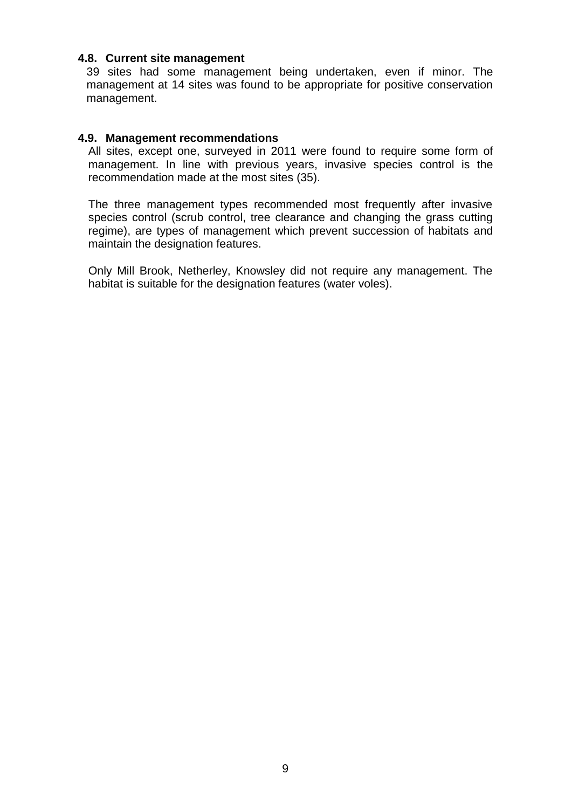#### **4.8. Current site management**

39 sites had some management being undertaken, even if minor. The management at 14 sites was found to be appropriate for positive conservation management.

#### **4.9. Management recommendations**

All sites, except one, surveyed in 2011 were found to require some form of management. In line with previous years, invasive species control is the recommendation made at the most sites (35).

The three management types recommended most frequently after invasive species control (scrub control, tree clearance and changing the grass cutting regime), are types of management which prevent succession of habitats and maintain the designation features.

Only Mill Brook, Netherley, Knowsley did not require any management. The habitat is suitable for the designation features (water voles).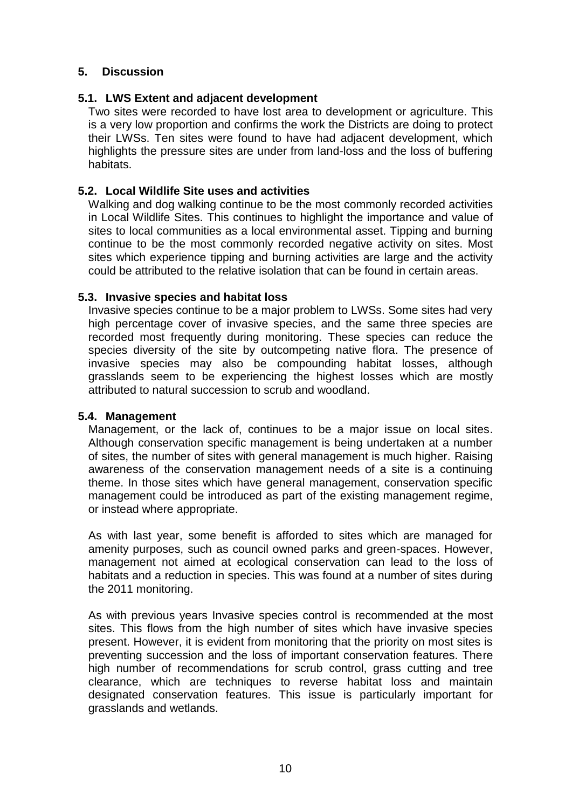# **5. Discussion**

#### **5.1. LWS Extent and adjacent development**

Two sites were recorded to have lost area to development or agriculture. This is a very low proportion and confirms the work the Districts are doing to protect their LWSs. Ten sites were found to have had adjacent development, which highlights the pressure sites are under from land-loss and the loss of buffering habitats.

# **5.2. Local Wildlife Site uses and activities**

Walking and dog walking continue to be the most commonly recorded activities in Local Wildlife Sites. This continues to highlight the importance and value of sites to local communities as a local environmental asset. Tipping and burning continue to be the most commonly recorded negative activity on sites. Most sites which experience tipping and burning activities are large and the activity could be attributed to the relative isolation that can be found in certain areas.

#### **5.3. Invasive species and habitat loss**

Invasive species continue to be a major problem to LWSs. Some sites had very high percentage cover of invasive species, and the same three species are recorded most frequently during monitoring. These species can reduce the species diversity of the site by outcompeting native flora. The presence of invasive species may also be compounding habitat losses, although grasslands seem to be experiencing the highest losses which are mostly attributed to natural succession to scrub and woodland.

#### **5.4. Management**

Management, or the lack of, continues to be a major issue on local sites. Although conservation specific management is being undertaken at a number of sites, the number of sites with general management is much higher. Raising awareness of the conservation management needs of a site is a continuing theme. In those sites which have general management, conservation specific management could be introduced as part of the existing management regime, or instead where appropriate.

As with last year, some benefit is afforded to sites which are managed for amenity purposes, such as council owned parks and green-spaces. However, management not aimed at ecological conservation can lead to the loss of habitats and a reduction in species. This was found at a number of sites during the 2011 monitoring.

As with previous years Invasive species control is recommended at the most sites. This flows from the high number of sites which have invasive species present. However, it is evident from monitoring that the priority on most sites is preventing succession and the loss of important conservation features. There high number of recommendations for scrub control, grass cutting and tree clearance, which are techniques to reverse habitat loss and maintain designated conservation features. This issue is particularly important for grasslands and wetlands.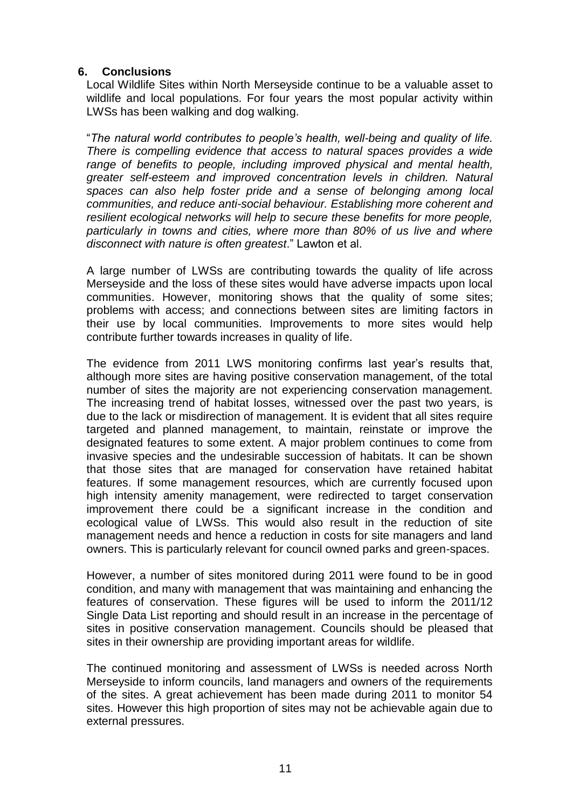# **6. Conclusions**

Local Wildlife Sites within North Merseyside continue to be a valuable asset to wildlife and local populations. For four years the most popular activity within LWSs has been walking and dog walking.

"*The natural world contributes to people's health, well-being and quality of life. There is compelling evidence that access to natural spaces provides a wide range of benefits to people, including improved physical and mental health, greater self-esteem and improved concentration levels in children. Natural spaces can also help foster pride and a sense of belonging among local communities, and reduce anti-social behaviour. Establishing more coherent and resilient ecological networks will help to secure these benefits for more people, particularly in towns and cities, where more than 80% of us live and where disconnect with nature is often greatest*." Lawton et al.

A large number of LWSs are contributing towards the quality of life across Merseyside and the loss of these sites would have adverse impacts upon local communities. However, monitoring shows that the quality of some sites; problems with access; and connections between sites are limiting factors in their use by local communities. Improvements to more sites would help contribute further towards increases in quality of life.

The evidence from 2011 LWS monitoring confirms last year's results that, although more sites are having positive conservation management, of the total number of sites the majority are not experiencing conservation management. The increasing trend of habitat losses, witnessed over the past two years, is due to the lack or misdirection of management. It is evident that all sites require targeted and planned management, to maintain, reinstate or improve the designated features to some extent. A major problem continues to come from invasive species and the undesirable succession of habitats. It can be shown that those sites that are managed for conservation have retained habitat features. If some management resources, which are currently focused upon high intensity amenity management, were redirected to target conservation improvement there could be a significant increase in the condition and ecological value of LWSs. This would also result in the reduction of site management needs and hence a reduction in costs for site managers and land owners. This is particularly relevant for council owned parks and green-spaces.

However, a number of sites monitored during 2011 were found to be in good condition, and many with management that was maintaining and enhancing the features of conservation. These figures will be used to inform the 2011/12 Single Data List reporting and should result in an increase in the percentage of sites in positive conservation management. Councils should be pleased that sites in their ownership are providing important areas for wildlife.

The continued monitoring and assessment of LWSs is needed across North Merseyside to inform councils, land managers and owners of the requirements of the sites. A great achievement has been made during 2011 to monitor 54 sites. However this high proportion of sites may not be achievable again due to external pressures.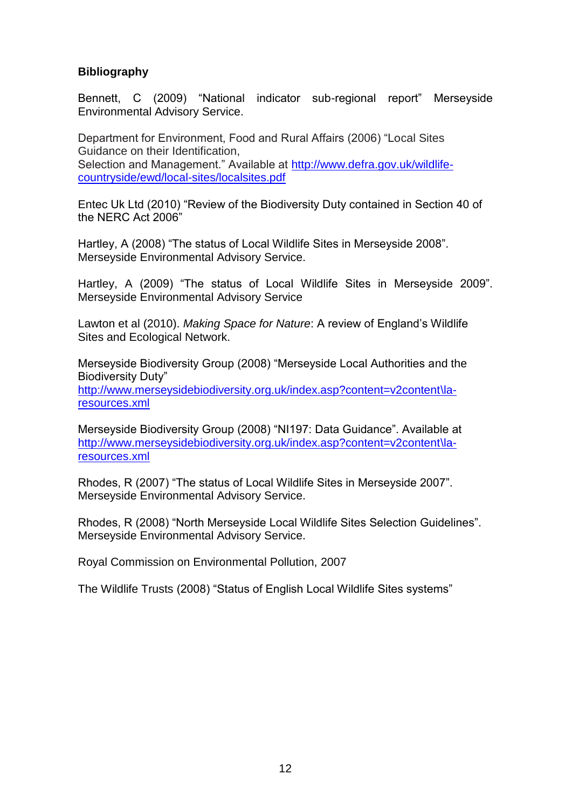# **Bibliography**

Bennett, C (2009) "National indicator sub-regional report" Merseyside Environmental Advisory Service.

Department for Environment, Food and Rural Affairs (2006) "Local Sites Guidance on their Identification, Selection and Management." Available at [http://www.defra.gov.uk/wildlife](http://www.defra.gov.uk/wildlife-countryside/ewd/local-sites/localsites.pdf)[countryside/ewd/local-sites/localsites.pdf](http://www.defra.gov.uk/wildlife-countryside/ewd/local-sites/localsites.pdf)

Entec Uk Ltd (2010) "Review of the Biodiversity Duty contained in Section 40 of the NERC Act 2006"

Hartley, A (2008) "The status of Local Wildlife Sites in Merseyside 2008". Merseyside Environmental Advisory Service.

Hartley, A (2009) "The status of Local Wildlife Sites in Merseyside 2009". Merseyside Environmental Advisory Service

Lawton et al (2010). *Making Space for Nature*: A review of England's Wildlife Sites and Ecological Network.

Merseyside Biodiversity Group (2008) "Merseyside Local Authorities and the Biodiversity Duty" [http://www.merseysidebiodiversity.org.uk/index.asp?content=v2content\la](http://www.merseysidebiodiversity.org.uk/index.asp?content=v2content/la-resources.xml)[resources.xml](http://www.merseysidebiodiversity.org.uk/index.asp?content=v2content/la-resources.xml)

Merseyside Biodiversity Group (2008) "NI197: Data Guidance". Available at [http://www.merseysidebiodiversity.org.uk/index.asp?content=v2content\la](http://www.merseysidebiodiversity.org.uk/index.asp?content=v2content/la-resources.xml)[resources.xml](http://www.merseysidebiodiversity.org.uk/index.asp?content=v2content/la-resources.xml)

Rhodes, R (2007) "The status of Local Wildlife Sites in Merseyside 2007". Merseyside Environmental Advisory Service.

Rhodes, R (2008) "North Merseyside Local Wildlife Sites Selection Guidelines". Merseyside Environmental Advisory Service.

Royal Commission on Environmental Pollution, 2007

The Wildlife Trusts (2008) "Status of English Local Wildlife Sites systems"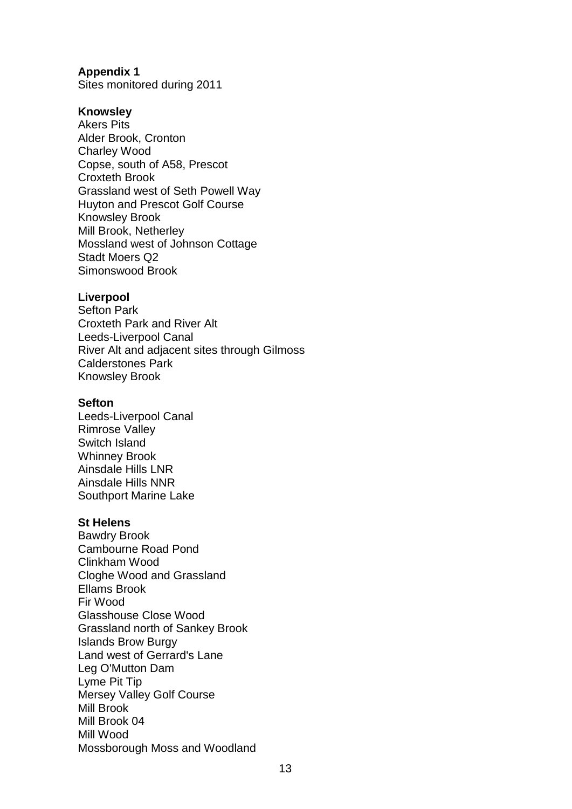# **Appendix 1**

Sites monitored during 2011

#### **Knowsley**

Akers Pits Alder Brook, Cronton Charley Wood Copse, south of A58, Prescot Croxteth Brook Grassland west of Seth Powell Way Huyton and Prescot Golf Course Knowsley Brook Mill Brook, Netherley Mossland west of Johnson Cottage Stadt Moers Q2 Simonswood Brook

#### **Liverpool**

Sefton Park Croxteth Park and River Alt Leeds-Liverpool Canal River Alt and adjacent sites through Gilmoss Calderstones Park Knowsley Brook

#### **Sefton**

Leeds-Liverpool Canal Rimrose Valley Switch Island Whinney Brook Ainsdale Hills LNR Ainsdale Hills NNR Southport Marine Lake

#### **St Helens**

Bawdry Brook Cambourne Road Pond Clinkham Wood Cloghe Wood and Grassland Ellams Brook Fir Wood Glasshouse Close Wood Grassland north of Sankey Brook Islands Brow Burgy Land west of Gerrard's Lane Leg O'Mutton Dam Lyme Pit Tip Mersey Valley Golf Course Mill Brook Mill Brook 04 Mill Wood Mossborough Moss and Woodland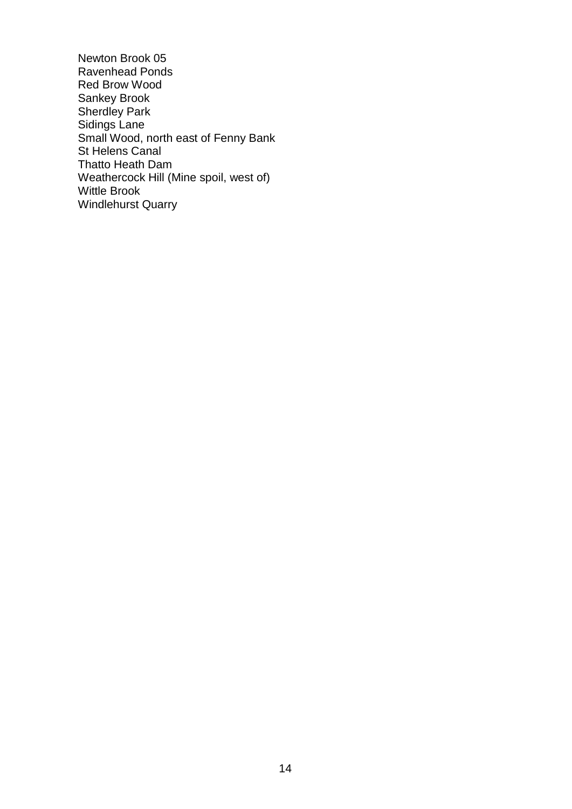Newton Brook 05 Ravenhead Ponds Red Brow Wood Sankey Brook Sherdley Park Sidings Lane Small Wood, north east of Fenny Bank St Helens Canal Thatto Heath Dam Weathercock Hill (Mine spoil, west of) Wittle Brook Windlehurst Quarry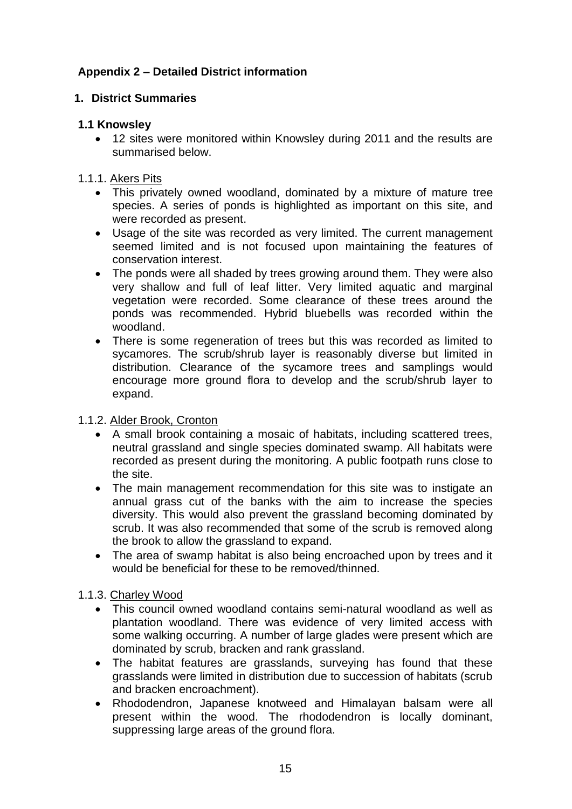# **Appendix 2 – Detailed District information**

# **1. District Summaries**

# **1.1 Knowsley**

 12 sites were monitored within Knowsley during 2011 and the results are summarised below.

# 1.1.1. Akers Pits

- This privately owned woodland, dominated by a mixture of mature tree species. A series of ponds is highlighted as important on this site, and were recorded as present.
- Usage of the site was recorded as very limited. The current management seemed limited and is not focused upon maintaining the features of conservation interest.
- The ponds were all shaded by trees growing around them. They were also very shallow and full of leaf litter. Very limited aquatic and marginal vegetation were recorded. Some clearance of these trees around the ponds was recommended. Hybrid bluebells was recorded within the woodland.
- There is some regeneration of trees but this was recorded as limited to sycamores. The scrub/shrub layer is reasonably diverse but limited in distribution. Clearance of the sycamore trees and samplings would encourage more ground flora to develop and the scrub/shrub layer to expand.

# 1.1.2. Alder Brook, Cronton

- A small brook containing a mosaic of habitats, including scattered trees, neutral grassland and single species dominated swamp. All habitats were recorded as present during the monitoring. A public footpath runs close to the site.
- The main management recommendation for this site was to instigate an annual grass cut of the banks with the aim to increase the species diversity. This would also prevent the grassland becoming dominated by scrub. It was also recommended that some of the scrub is removed along the brook to allow the grassland to expand.
- The area of swamp habitat is also being encroached upon by trees and it would be beneficial for these to be removed/thinned.

# 1.1.3. Charley Wood

- This council owned woodland contains semi-natural woodland as well as plantation woodland. There was evidence of very limited access with some walking occurring. A number of large glades were present which are dominated by scrub, bracken and rank grassland.
- The habitat features are grasslands, surveying has found that these grasslands were limited in distribution due to succession of habitats (scrub and bracken encroachment).
- Rhododendron, Japanese knotweed and Himalayan balsam were all present within the wood. The rhododendron is locally dominant, suppressing large areas of the ground flora.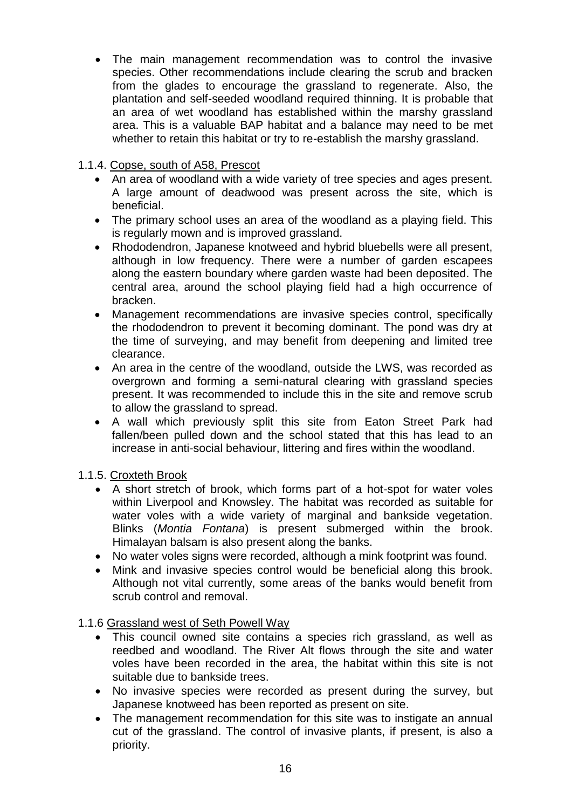The main management recommendation was to control the invasive species. Other recommendations include clearing the scrub and bracken from the glades to encourage the grassland to regenerate. Also, the plantation and self-seeded woodland required thinning. It is probable that an area of wet woodland has established within the marshy grassland area. This is a valuable BAP habitat and a balance may need to be met whether to retain this habitat or try to re-establish the marshy grassland.

# 1.1.4. Copse, south of A58, Prescot

- An area of woodland with a wide variety of tree species and ages present. A large amount of deadwood was present across the site, which is beneficial.
- The primary school uses an area of the woodland as a playing field. This is regularly mown and is improved grassland.
- Rhododendron, Japanese knotweed and hybrid bluebells were all present, although in low frequency. There were a number of garden escapees along the eastern boundary where garden waste had been deposited. The central area, around the school playing field had a high occurrence of bracken.
- Management recommendations are invasive species control, specifically the rhododendron to prevent it becoming dominant. The pond was dry at the time of surveying, and may benefit from deepening and limited tree clearance.
- An area in the centre of the woodland, outside the LWS, was recorded as overgrown and forming a semi-natural clearing with grassland species present. It was recommended to include this in the site and remove scrub to allow the grassland to spread.
- A wall which previously split this site from Eaton Street Park had fallen/been pulled down and the school stated that this has lead to an increase in anti-social behaviour, littering and fires within the woodland.

1.1.5. Croxteth Brook

- A short stretch of brook, which forms part of a hot-spot for water voles within Liverpool and Knowsley. The habitat was recorded as suitable for water voles with a wide variety of marginal and bankside vegetation. Blinks (*Montia Fontana*) is present submerged within the brook. Himalayan balsam is also present along the banks.
- No water voles signs were recorded, although a mink footprint was found.
- Mink and invasive species control would be beneficial along this brook. Although not vital currently, some areas of the banks would benefit from scrub control and removal.

# 1.1.6 Grassland west of Seth Powell Way

- This council owned site contains a species rich grassland, as well as reedbed and woodland. The River Alt flows through the site and water voles have been recorded in the area, the habitat within this site is not suitable due to bankside trees.
- No invasive species were recorded as present during the survey, but Japanese knotweed has been reported as present on site.
- The management recommendation for this site was to instigate an annual cut of the grassland. The control of invasive plants, if present, is also a priority.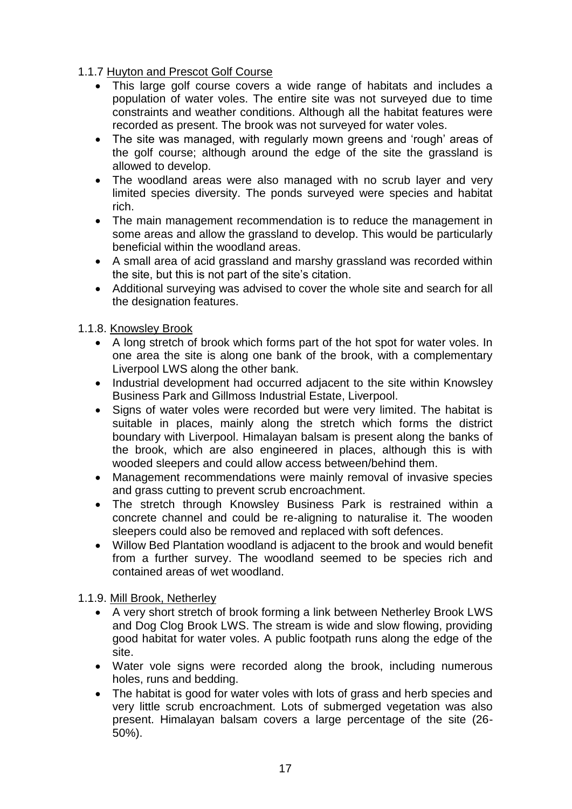1.1.7 Huyton and Prescot Golf Course

- This large golf course covers a wide range of habitats and includes a population of water voles. The entire site was not surveyed due to time constraints and weather conditions. Although all the habitat features were recorded as present. The brook was not surveyed for water voles.
- The site was managed, with regularly mown greens and 'rough' areas of the golf course; although around the edge of the site the grassland is allowed to develop.
- The woodland areas were also managed with no scrub layer and very limited species diversity. The ponds surveyed were species and habitat rich.
- The main management recommendation is to reduce the management in some areas and allow the grassland to develop. This would be particularly beneficial within the woodland areas.
- A small area of acid grassland and marshy grassland was recorded within the site, but this is not part of the site's citation.
- Additional surveying was advised to cover the whole site and search for all the designation features.

1.1.8. Knowsley Brook

- A long stretch of brook which forms part of the hot spot for water voles. In one area the site is along one bank of the brook, with a complementary Liverpool LWS along the other bank.
- Industrial development had occurred adjacent to the site within Knowsley Business Park and Gillmoss Industrial Estate, Liverpool.
- Signs of water voles were recorded but were very limited. The habitat is suitable in places, mainly along the stretch which forms the district boundary with Liverpool. Himalayan balsam is present along the banks of the brook, which are also engineered in places, although this is with wooded sleepers and could allow access between/behind them.
- Management recommendations were mainly removal of invasive species and grass cutting to prevent scrub encroachment.
- The stretch through Knowsley Business Park is restrained within a concrete channel and could be re-aligning to naturalise it. The wooden sleepers could also be removed and replaced with soft defences.
- Willow Bed Plantation woodland is adjacent to the brook and would benefit from a further survey. The woodland seemed to be species rich and contained areas of wet woodland.

1.1.9. Mill Brook, Netherley

- A very short stretch of brook forming a link between Netherley Brook LWS and Dog Clog Brook LWS. The stream is wide and slow flowing, providing good habitat for water voles. A public footpath runs along the edge of the site.
- Water vole signs were recorded along the brook, including numerous holes, runs and bedding.
- The habitat is good for water voles with lots of grass and herb species and very little scrub encroachment. Lots of submerged vegetation was also present. Himalayan balsam covers a large percentage of the site (26- 50%).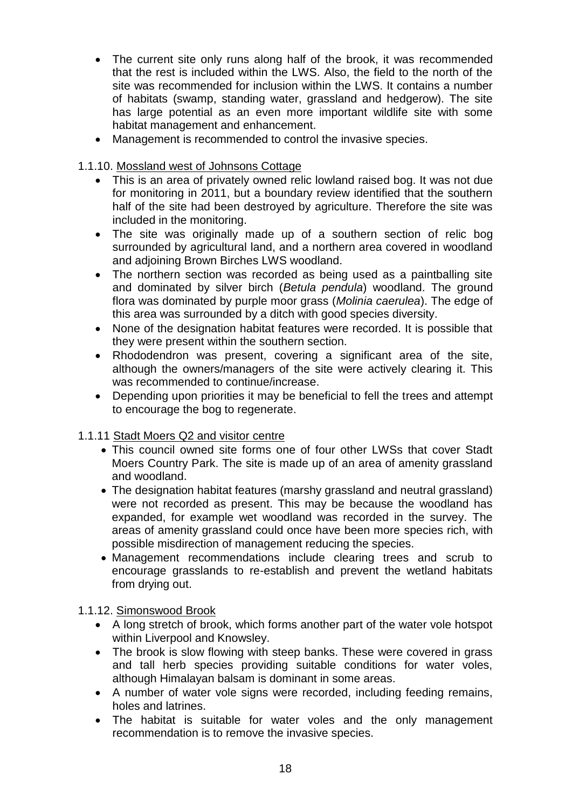- The current site only runs along half of the brook, it was recommended that the rest is included within the LWS. Also, the field to the north of the site was recommended for inclusion within the LWS. It contains a number of habitats (swamp, standing water, grassland and hedgerow). The site has large potential as an even more important wildlife site with some habitat management and enhancement.
- Management is recommended to control the invasive species.

1.1.10. Mossland west of Johnsons Cottage

- This is an area of privately owned relic lowland raised bog. It was not due for monitoring in 2011, but a boundary review identified that the southern half of the site had been destroyed by agriculture. Therefore the site was included in the monitoring.
- The site was originally made up of a southern section of relic bog surrounded by agricultural land, and a northern area covered in woodland and adjoining Brown Birches LWS woodland.
- The northern section was recorded as being used as a paintballing site and dominated by silver birch (*Betula pendula*) woodland. The ground flora was dominated by purple moor grass (*Molinia caerulea*). The edge of this area was surrounded by a ditch with good species diversity.
- None of the designation habitat features were recorded. It is possible that they were present within the southern section.
- Rhododendron was present, covering a significant area of the site, although the owners/managers of the site were actively clearing it. This was recommended to continue/increase.
- Depending upon priorities it may be beneficial to fell the trees and attempt to encourage the bog to regenerate.

#### 1.1.11 Stadt Moers Q2 and visitor centre

- This council owned site forms one of four other LWSs that cover Stadt Moers Country Park. The site is made up of an area of amenity grassland and woodland.
- The designation habitat features (marshy grassland and neutral grassland) were not recorded as present. This may be because the woodland has expanded, for example wet woodland was recorded in the survey. The areas of amenity grassland could once have been more species rich, with possible misdirection of management reducing the species.
- Management recommendations include clearing trees and scrub to encourage grasslands to re-establish and prevent the wetland habitats from drying out.

1.1.12. Simonswood Brook

- A long stretch of brook, which forms another part of the water vole hotspot within Liverpool and Knowsley.
- The brook is slow flowing with steep banks. These were covered in grass and tall herb species providing suitable conditions for water voles, although Himalayan balsam is dominant in some areas.
- A number of water vole signs were recorded, including feeding remains, holes and latrines.
- The habitat is suitable for water voles and the only management recommendation is to remove the invasive species.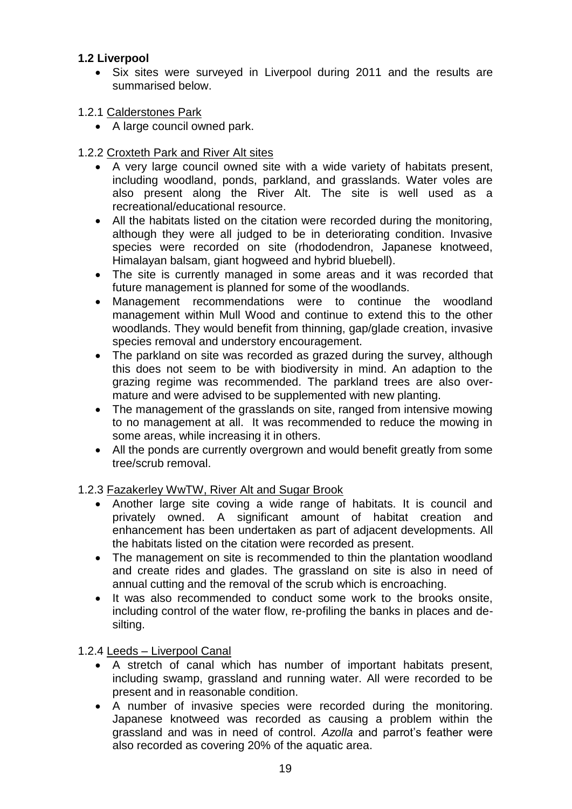# **1.2 Liverpool**

- Six sites were surveyed in Liverpool during 2011 and the results are summarised below.
- 1.2.1 Calderstones Park
	- A large council owned park.
- 1.2.2 Croxteth Park and River Alt sites
	- A very large council owned site with a wide variety of habitats present, including woodland, ponds, parkland, and grasslands. Water voles are also present along the River Alt. The site is well used as a recreational/educational resource.
	- All the habitats listed on the citation were recorded during the monitoring, although they were all judged to be in deteriorating condition. Invasive species were recorded on site (rhododendron, Japanese knotweed, Himalayan balsam, giant hogweed and hybrid bluebell).
	- The site is currently managed in some areas and it was recorded that future management is planned for some of the woodlands.
	- Management recommendations were to continue the woodland management within Mull Wood and continue to extend this to the other woodlands. They would benefit from thinning, gap/glade creation, invasive species removal and understory encouragement.
	- The parkland on site was recorded as grazed during the survey, although this does not seem to be with biodiversity in mind. An adaption to the grazing regime was recommended. The parkland trees are also overmature and were advised to be supplemented with new planting.
	- The management of the grasslands on site, ranged from intensive mowing to no management at all. It was recommended to reduce the mowing in some areas, while increasing it in others.
	- All the ponds are currently overgrown and would benefit greatly from some tree/scrub removal.

#### 1.2.3 Fazakerley WwTW, River Alt and Sugar Brook

- Another large site coving a wide range of habitats. It is council and privately owned. A significant amount of habitat creation and enhancement has been undertaken as part of adjacent developments. All the habitats listed on the citation were recorded as present.
- The management on site is recommended to thin the plantation woodland and create rides and glades. The grassland on site is also in need of annual cutting and the removal of the scrub which is encroaching.
- It was also recommended to conduct some work to the brooks onsite, including control of the water flow, re-profiling the banks in places and desilting.

# 1.2.4 Leeds – Liverpool Canal

- A stretch of canal which has number of important habitats present, including swamp, grassland and running water. All were recorded to be present and in reasonable condition.
- A number of invasive species were recorded during the monitoring. Japanese knotweed was recorded as causing a problem within the grassland and was in need of control. *Azolla* and parrot's feather were also recorded as covering 20% of the aquatic area.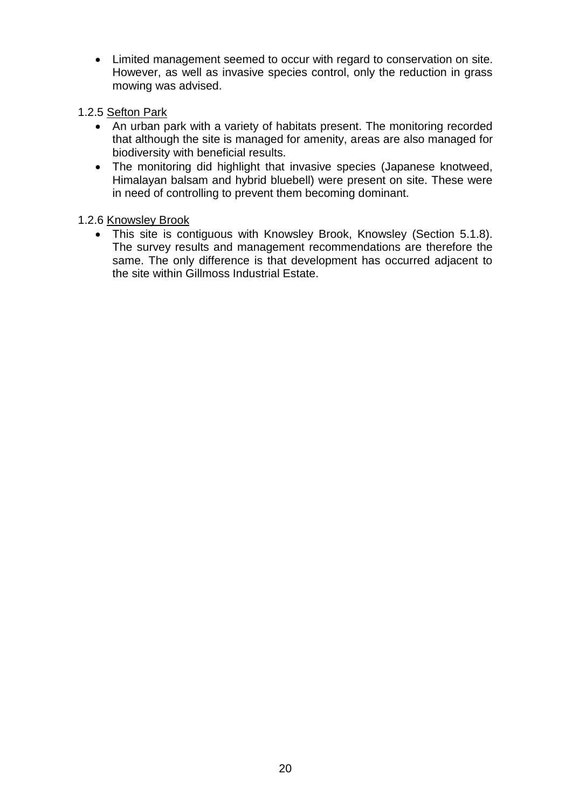- Limited management seemed to occur with regard to conservation on site. However, as well as invasive species control, only the reduction in grass mowing was advised.
- 1.2.5 Sefton Park
	- An urban park with a variety of habitats present. The monitoring recorded that although the site is managed for amenity, areas are also managed for biodiversity with beneficial results.
	- The monitoring did highlight that invasive species (Japanese knotweed, Himalayan balsam and hybrid bluebell) were present on site. These were in need of controlling to prevent them becoming dominant.

# 1.2.6 Knowsley Brook

 This site is contiguous with Knowsley Brook, Knowsley (Section 5.1.8). The survey results and management recommendations are therefore the same. The only difference is that development has occurred adjacent to the site within Gillmoss Industrial Estate.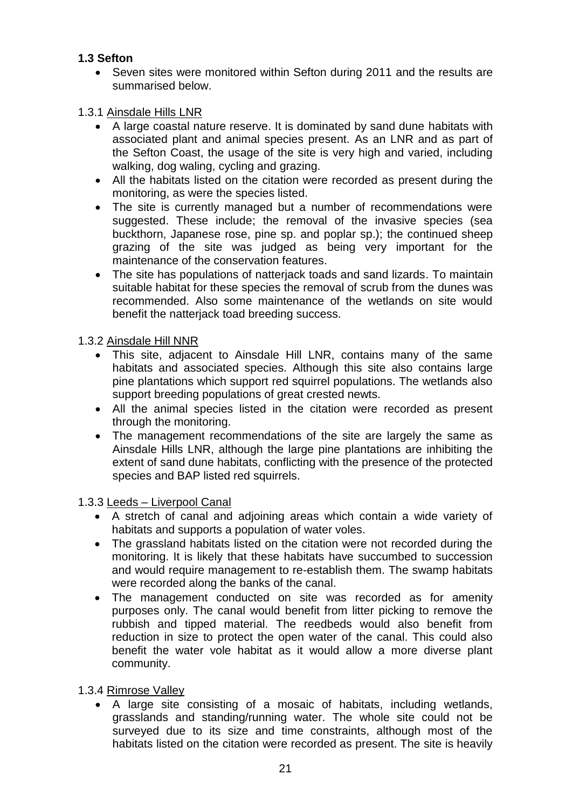# **1.3 Sefton**

• Seven sites were monitored within Sefton during 2011 and the results are summarised below.

# 1.3.1 Ainsdale Hills LNR

- A large coastal nature reserve. It is dominated by sand dune habitats with associated plant and animal species present. As an LNR and as part of the Sefton Coast, the usage of the site is very high and varied, including walking, dog waling, cycling and grazing.
- All the habitats listed on the citation were recorded as present during the monitoring, as were the species listed.
- The site is currently managed but a number of recommendations were suggested. These include; the removal of the invasive species (sea buckthorn, Japanese rose, pine sp. and poplar sp.); the continued sheep grazing of the site was judged as being very important for the maintenance of the conservation features.
- The site has populations of natterjack toads and sand lizards. To maintain suitable habitat for these species the removal of scrub from the dunes was recommended. Also some maintenance of the wetlands on site would benefit the natterjack toad breeding success.

1.3.2 Ainsdale Hill NNR

- This site, adjacent to Ainsdale Hill LNR, contains many of the same habitats and associated species. Although this site also contains large pine plantations which support red squirrel populations. The wetlands also support breeding populations of great crested newts.
- All the animal species listed in the citation were recorded as present through the monitoring.
- The management recommendations of the site are largely the same as Ainsdale Hills LNR, although the large pine plantations are inhibiting the extent of sand dune habitats, conflicting with the presence of the protected species and BAP listed red squirrels.

1.3.3 Leeds – Liverpool Canal

- A stretch of canal and adjoining areas which contain a wide variety of habitats and supports a population of water voles.
- The grassland habitats listed on the citation were not recorded during the monitoring. It is likely that these habitats have succumbed to succession and would require management to re-establish them. The swamp habitats were recorded along the banks of the canal.
- The management conducted on site was recorded as for amenity purposes only. The canal would benefit from litter picking to remove the rubbish and tipped material. The reedbeds would also benefit from reduction in size to protect the open water of the canal. This could also benefit the water vole habitat as it would allow a more diverse plant community.
- 1.3.4 Rimrose Valley
	- A large site consisting of a mosaic of habitats, including wetlands, grasslands and standing/running water. The whole site could not be surveyed due to its size and time constraints, although most of the habitats listed on the citation were recorded as present. The site is heavily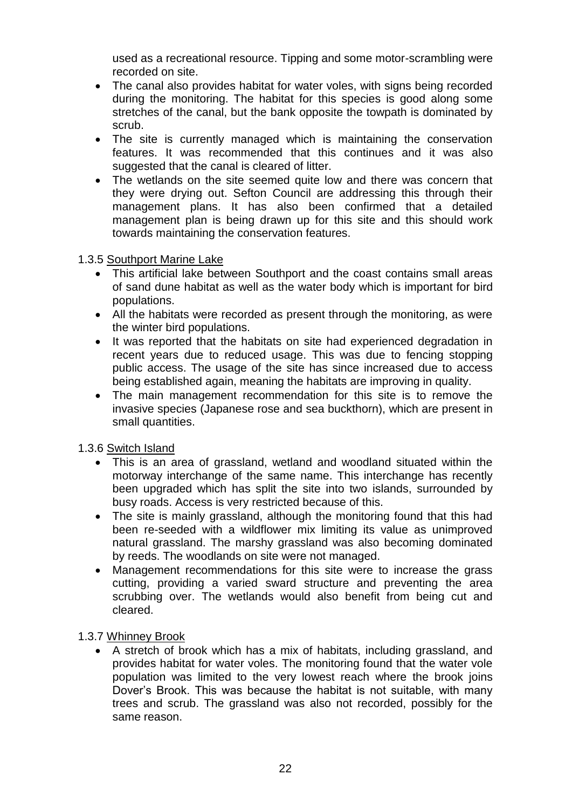used as a recreational resource. Tipping and some motor-scrambling were recorded on site.

- The canal also provides habitat for water voles, with signs being recorded during the monitoring. The habitat for this species is good along some stretches of the canal, but the bank opposite the towpath is dominated by scrub.
- The site is currently managed which is maintaining the conservation features. It was recommended that this continues and it was also suggested that the canal is cleared of litter.
- The wetlands on the site seemed quite low and there was concern that they were drying out. Sefton Council are addressing this through their management plans. It has also been confirmed that a detailed management plan is being drawn up for this site and this should work towards maintaining the conservation features.

1.3.5 Southport Marine Lake

- This artificial lake between Southport and the coast contains small areas of sand dune habitat as well as the water body which is important for bird populations.
- All the habitats were recorded as present through the monitoring, as were the winter bird populations.
- It was reported that the habitats on site had experienced degradation in recent years due to reduced usage. This was due to fencing stopping public access. The usage of the site has since increased due to access being established again, meaning the habitats are improving in quality.
- The main management recommendation for this site is to remove the invasive species (Japanese rose and sea buckthorn), which are present in small quantities.

1.3.6 Switch Island

- This is an area of grassland, wetland and woodland situated within the motorway interchange of the same name. This interchange has recently been upgraded which has split the site into two islands, surrounded by busy roads. Access is very restricted because of this.
- The site is mainly grassland, although the monitoring found that this had been re-seeded with a wildflower mix limiting its value as unimproved natural grassland. The marshy grassland was also becoming dominated by reeds. The woodlands on site were not managed.
- Management recommendations for this site were to increase the grass cutting, providing a varied sward structure and preventing the area scrubbing over. The wetlands would also benefit from being cut and cleared.

1.3.7 Whinney Brook

 A stretch of brook which has a mix of habitats, including grassland, and provides habitat for water voles. The monitoring found that the water vole population was limited to the very lowest reach where the brook joins Dover's Brook. This was because the habitat is not suitable, with many trees and scrub. The grassland was also not recorded, possibly for the same reason.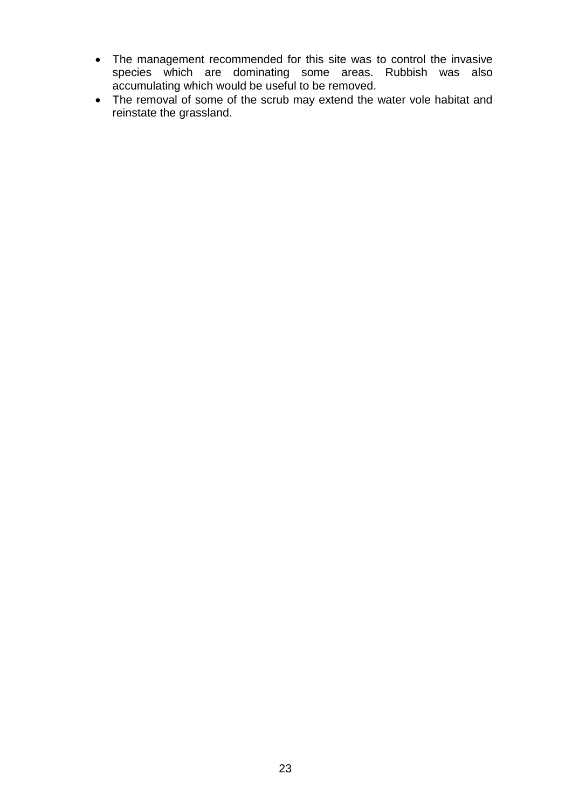- The management recommended for this site was to control the invasive species which are dominating some areas. Rubbish was also accumulating which would be useful to be removed.
- The removal of some of the scrub may extend the water vole habitat and reinstate the grassland.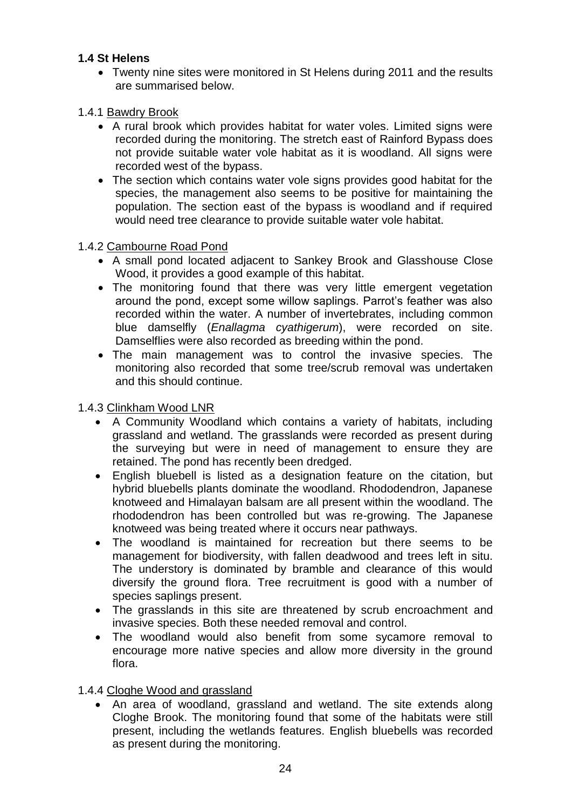# **1.4 St Helens**

 Twenty nine sites were monitored in St Helens during 2011 and the results are summarised below.

# 1.4.1 Bawdry Brook

- A rural brook which provides habitat for water voles. Limited signs were recorded during the monitoring. The stretch east of Rainford Bypass does not provide suitable water vole habitat as it is woodland. All signs were recorded west of the bypass.
- The section which contains water vole signs provides good habitat for the species, the management also seems to be positive for maintaining the population. The section east of the bypass is woodland and if required would need tree clearance to provide suitable water vole habitat.

#### 1.4.2 Cambourne Road Pond

- A small pond located adjacent to Sankey Brook and Glasshouse Close Wood, it provides a good example of this habitat.
- The monitoring found that there was very little emergent vegetation around the pond, except some willow saplings. Parrot's feather was also recorded within the water. A number of invertebrates, including common blue damselfly (*Enallagma cyathigerum*), were recorded on site. Damselflies were also recorded as breeding within the pond.
- The main management was to control the invasive species. The monitoring also recorded that some tree/scrub removal was undertaken and this should continue.

#### 1.4.3 Clinkham Wood LNR

- A Community Woodland which contains a variety of habitats, including grassland and wetland. The grasslands were recorded as present during the surveying but were in need of management to ensure they are retained. The pond has recently been dredged.
- English bluebell is listed as a designation feature on the citation, but hybrid bluebells plants dominate the woodland. Rhododendron, Japanese knotweed and Himalayan balsam are all present within the woodland. The rhododendron has been controlled but was re-growing. The Japanese knotweed was being treated where it occurs near pathways.
- The woodland is maintained for recreation but there seems to be management for biodiversity, with fallen deadwood and trees left in situ. The understory is dominated by bramble and clearance of this would diversify the ground flora. Tree recruitment is good with a number of species saplings present.
- The grasslands in this site are threatened by scrub encroachment and invasive species. Both these needed removal and control.
- The woodland would also benefit from some sycamore removal to encourage more native species and allow more diversity in the ground flora.
- 1.4.4 Cloghe Wood and grassland
	- An area of woodland, grassland and wetland. The site extends along Cloghe Brook. The monitoring found that some of the habitats were still present, including the wetlands features. English bluebells was recorded as present during the monitoring.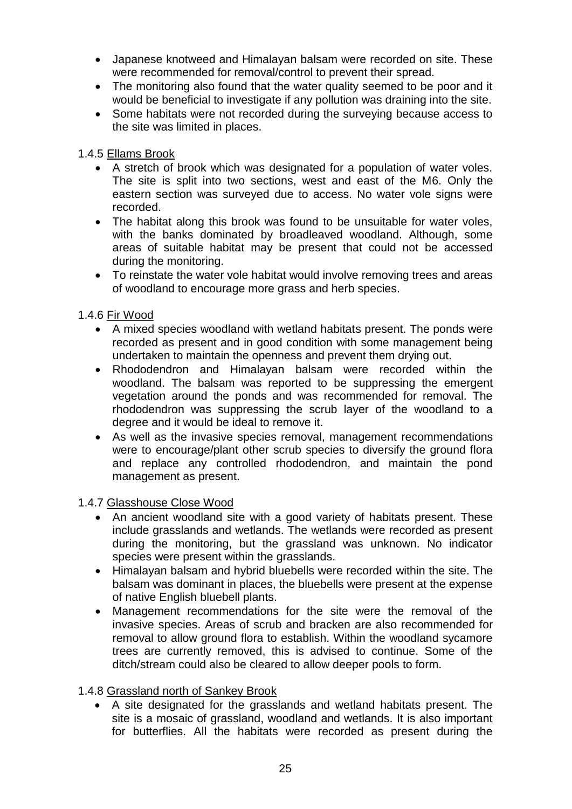- Japanese knotweed and Himalayan balsam were recorded on site. These were recommended for removal/control to prevent their spread.
- The monitoring also found that the water quality seemed to be poor and it would be beneficial to investigate if any pollution was draining into the site.
- Some habitats were not recorded during the surveying because access to the site was limited in places.

### 1.4.5 Ellams Brook

- A stretch of brook which was designated for a population of water voles. The site is split into two sections, west and east of the M6. Only the eastern section was surveyed due to access. No water vole signs were recorded.
- The habitat along this brook was found to be unsuitable for water voles, with the banks dominated by broadleaved woodland. Although, some areas of suitable habitat may be present that could not be accessed during the monitoring.
- To reinstate the water vole habitat would involve removing trees and areas of woodland to encourage more grass and herb species.

# 1.4.6 Fir Wood

- A mixed species woodland with wetland habitats present. The ponds were recorded as present and in good condition with some management being undertaken to maintain the openness and prevent them drying out.
- Rhododendron and Himalayan balsam were recorded within the woodland. The balsam was reported to be suppressing the emergent vegetation around the ponds and was recommended for removal. The rhododendron was suppressing the scrub layer of the woodland to a degree and it would be ideal to remove it.
- As well as the invasive species removal, management recommendations were to encourage/plant other scrub species to diversify the ground flora and replace any controlled rhododendron, and maintain the pond management as present.

#### 1.4.7 Glasshouse Close Wood

- An ancient woodland site with a good variety of habitats present. These include grasslands and wetlands. The wetlands were recorded as present during the monitoring, but the grassland was unknown. No indicator species were present within the grasslands.
- Himalayan balsam and hybrid bluebells were recorded within the site. The balsam was dominant in places, the bluebells were present at the expense of native English bluebell plants.
- Management recommendations for the site were the removal of the invasive species. Areas of scrub and bracken are also recommended for removal to allow ground flora to establish. Within the woodland sycamore trees are currently removed, this is advised to continue. Some of the ditch/stream could also be cleared to allow deeper pools to form.

#### 1.4.8 Grassland north of Sankey Brook

 A site designated for the grasslands and wetland habitats present. The site is a mosaic of grassland, woodland and wetlands. It is also important for butterflies. All the habitats were recorded as present during the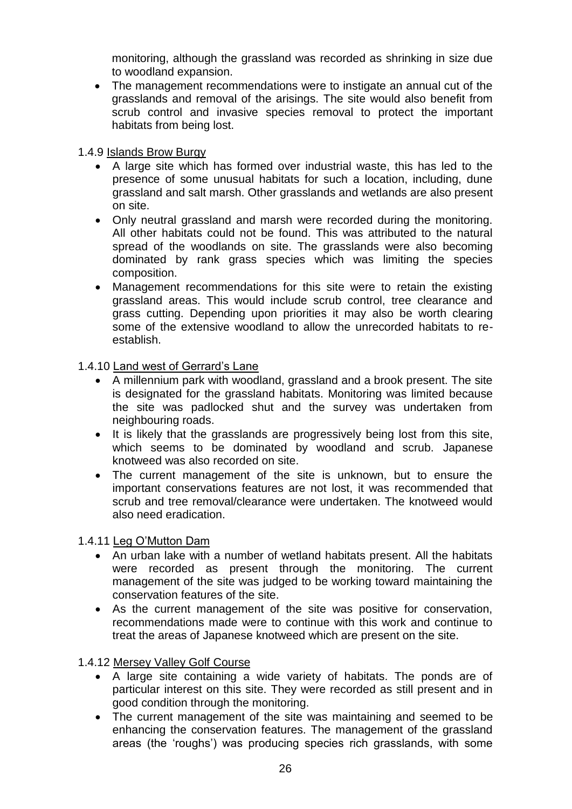monitoring, although the grassland was recorded as shrinking in size due to woodland expansion.

 The management recommendations were to instigate an annual cut of the grasslands and removal of the arisings. The site would also benefit from scrub control and invasive species removal to protect the important habitats from being lost.

### 1.4.9 Islands Brow Burgy

- A large site which has formed over industrial waste, this has led to the presence of some unusual habitats for such a location, including, dune grassland and salt marsh. Other grasslands and wetlands are also present on site.
- Only neutral grassland and marsh were recorded during the monitoring. All other habitats could not be found. This was attributed to the natural spread of the woodlands on site. The grasslands were also becoming dominated by rank grass species which was limiting the species composition.
- Management recommendations for this site were to retain the existing grassland areas. This would include scrub control, tree clearance and grass cutting. Depending upon priorities it may also be worth clearing some of the extensive woodland to allow the unrecorded habitats to reestablish.

1.4.10 Land west of Gerrard's Lane

- A millennium park with woodland, grassland and a brook present. The site is designated for the grassland habitats. Monitoring was limited because the site was padlocked shut and the survey was undertaken from neighbouring roads.
- It is likely that the grasslands are progressively being lost from this site, which seems to be dominated by woodland and scrub. Japanese knotweed was also recorded on site.
- The current management of the site is unknown, but to ensure the important conservations features are not lost, it was recommended that scrub and tree removal/clearance were undertaken. The knotweed would also need eradication.

1.4.11 Leg O'Mutton Dam

- An urban lake with a number of wetland habitats present. All the habitats were recorded as present through the monitoring. The current management of the site was judged to be working toward maintaining the conservation features of the site.
- As the current management of the site was positive for conservation, recommendations made were to continue with this work and continue to treat the areas of Japanese knotweed which are present on the site.

1.4.12 Mersey Valley Golf Course

- A large site containing a wide variety of habitats. The ponds are of particular interest on this site. They were recorded as still present and in good condition through the monitoring.
- The current management of the site was maintaining and seemed to be enhancing the conservation features. The management of the grassland areas (the 'roughs') was producing species rich grasslands, with some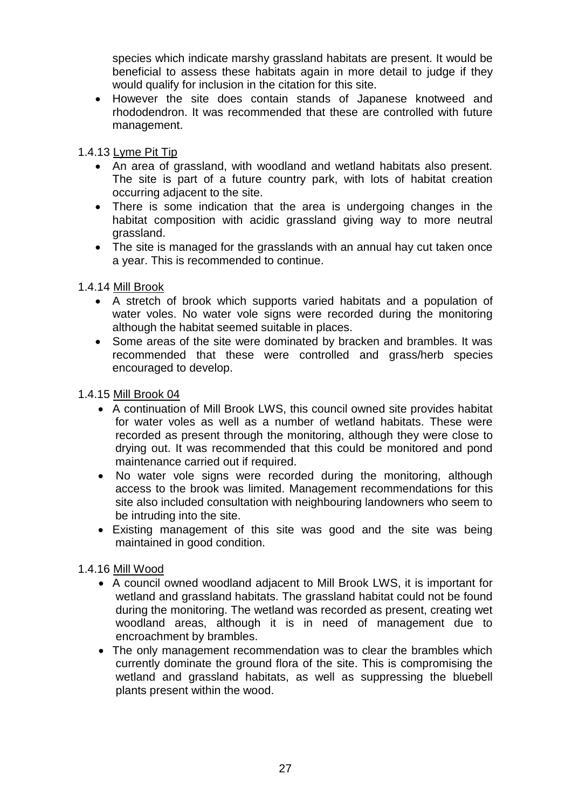species which indicate marshy grassland habitats are present. It would be beneficial to assess these habitats again in more detail to judge if they would qualify for inclusion in the citation for this site.

 However the site does contain stands of Japanese knotweed and rhododendron. It was recommended that these are controlled with future management.

1.4.13 Lyme Pit Tip

- An area of grassland, with woodland and wetland habitats also present. The site is part of a future country park, with lots of habitat creation occurring adjacent to the site.
- There is some indication that the area is undergoing changes in the habitat composition with acidic grassland giving way to more neutral grassland.
- The site is managed for the grasslands with an annual hay cut taken once a year. This is recommended to continue.

1.4.14 Mill Brook

- A stretch of brook which supports varied habitats and a population of water voles. No water vole signs were recorded during the monitoring although the habitat seemed suitable in places.
- Some areas of the site were dominated by bracken and brambles. It was recommended that these were controlled and grass/herb species encouraged to develop.

1.4.15 Mill Brook 04

- A continuation of Mill Brook LWS, this council owned site provides habitat for water voles as well as a number of wetland habitats. These were recorded as present through the monitoring, although they were close to drying out. It was recommended that this could be monitored and pond maintenance carried out if required.
- No water vole signs were recorded during the monitoring, although access to the brook was limited. Management recommendations for this site also included consultation with neighbouring landowners who seem to be intruding into the site.
- Existing management of this site was good and the site was being maintained in good condition.

1.4.16 Mill Wood

- A council owned woodland adjacent to Mill Brook LWS, it is important for wetland and grassland habitats. The grassland habitat could not be found during the monitoring. The wetland was recorded as present, creating wet woodland areas, although it is in need of management due to encroachment by brambles.
- The only management recommendation was to clear the brambles which currently dominate the ground flora of the site. This is compromising the wetland and grassland habitats, as well as suppressing the bluebell plants present within the wood.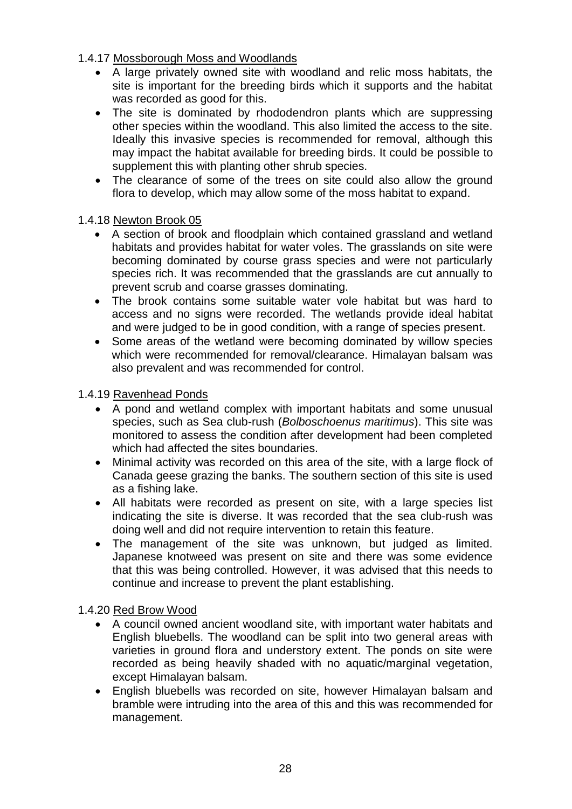- 1.4.17 Mossborough Moss and Woodlands
	- A large privately owned site with woodland and relic moss habitats, the site is important for the breeding birds which it supports and the habitat was recorded as good for this.
	- The site is dominated by rhododendron plants which are suppressing other species within the woodland. This also limited the access to the site. Ideally this invasive species is recommended for removal, although this may impact the habitat available for breeding birds. It could be possible to supplement this with planting other shrub species.
	- The clearance of some of the trees on site could also allow the ground flora to develop, which may allow some of the moss habitat to expand.

# 1.4.18 Newton Brook 05

- A section of brook and floodplain which contained grassland and wetland habitats and provides habitat for water voles. The grasslands on site were becoming dominated by course grass species and were not particularly species rich. It was recommended that the grasslands are cut annually to prevent scrub and coarse grasses dominating.
- The brook contains some suitable water vole habitat but was hard to access and no signs were recorded. The wetlands provide ideal habitat and were judged to be in good condition, with a range of species present.
- Some areas of the wetland were becoming dominated by willow species which were recommended for removal/clearance. Himalayan balsam was also prevalent and was recommended for control.

#### 1.4.19 Ravenhead Ponds

- A pond and wetland complex with important habitats and some unusual species, such as Sea club-rush (*Bolboschoenus maritimus*). This site was monitored to assess the condition after development had been completed which had affected the sites boundaries.
- Minimal activity was recorded on this area of the site, with a large flock of Canada geese grazing the banks. The southern section of this site is used as a fishing lake.
- All habitats were recorded as present on site, with a large species list indicating the site is diverse. It was recorded that the sea club-rush was doing well and did not require intervention to retain this feature.
- The management of the site was unknown, but judged as limited. Japanese knotweed was present on site and there was some evidence that this was being controlled. However, it was advised that this needs to continue and increase to prevent the plant establishing.

#### 1.4.20 Red Brow Wood

- A council owned ancient woodland site, with important water habitats and English bluebells. The woodland can be split into two general areas with varieties in ground flora and understory extent. The ponds on site were recorded as being heavily shaded with no aquatic/marginal vegetation, except Himalayan balsam.
- English bluebells was recorded on site, however Himalayan balsam and bramble were intruding into the area of this and this was recommended for management.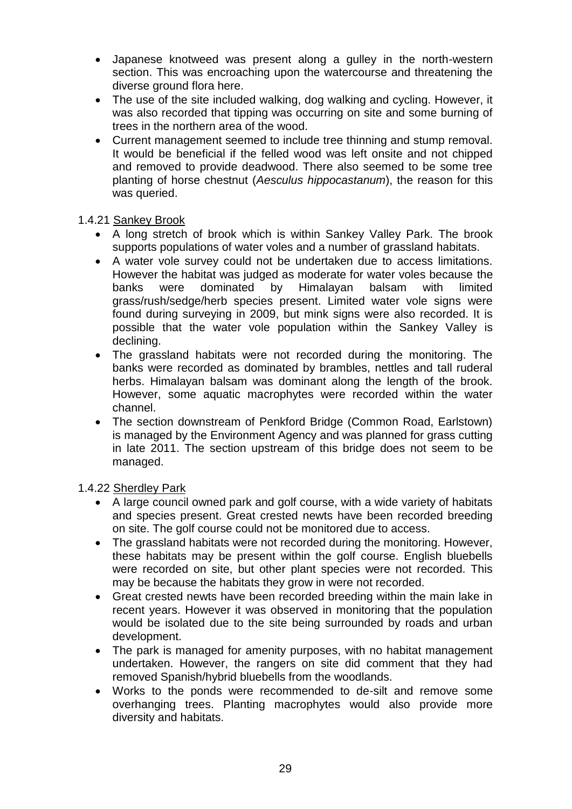- Japanese knotweed was present along a gulley in the north-western section. This was encroaching upon the watercourse and threatening the diverse ground flora here.
- The use of the site included walking, dog walking and cycling. However, it was also recorded that tipping was occurring on site and some burning of trees in the northern area of the wood.
- Current management seemed to include tree thinning and stump removal. It would be beneficial if the felled wood was left onsite and not chipped and removed to provide deadwood. There also seemed to be some tree planting of horse chestnut (*Aesculus hippocastanum*), the reason for this was queried.

# 1.4.21 Sankey Brook

- A long stretch of brook which is within Sankey Valley Park. The brook supports populations of water voles and a number of grassland habitats.
- A water vole survey could not be undertaken due to access limitations. However the habitat was judged as moderate for water voles because the banks were dominated by Himalayan balsam with limited grass/rush/sedge/herb species present. Limited water vole signs were found during surveying in 2009, but mink signs were also recorded. It is possible that the water vole population within the Sankey Valley is declining.
- The grassland habitats were not recorded during the monitoring. The banks were recorded as dominated by brambles, nettles and tall ruderal herbs. Himalayan balsam was dominant along the length of the brook. However, some aquatic macrophytes were recorded within the water channel.
- The section downstream of Penkford Bridge (Common Road, Earlstown) is managed by the Environment Agency and was planned for grass cutting in late 2011. The section upstream of this bridge does not seem to be managed.

# 1.4.22 Sherdley Park

- A large council owned park and golf course, with a wide variety of habitats and species present. Great crested newts have been recorded breeding on site. The golf course could not be monitored due to access.
- The grassland habitats were not recorded during the monitoring. However, these habitats may be present within the golf course. English bluebells were recorded on site, but other plant species were not recorded. This may be because the habitats they grow in were not recorded.
- Great crested newts have been recorded breeding within the main lake in recent years. However it was observed in monitoring that the population would be isolated due to the site being surrounded by roads and urban development.
- The park is managed for amenity purposes, with no habitat management undertaken. However, the rangers on site did comment that they had removed Spanish/hybrid bluebells from the woodlands.
- Works to the ponds were recommended to de-silt and remove some overhanging trees. Planting macrophytes would also provide more diversity and habitats.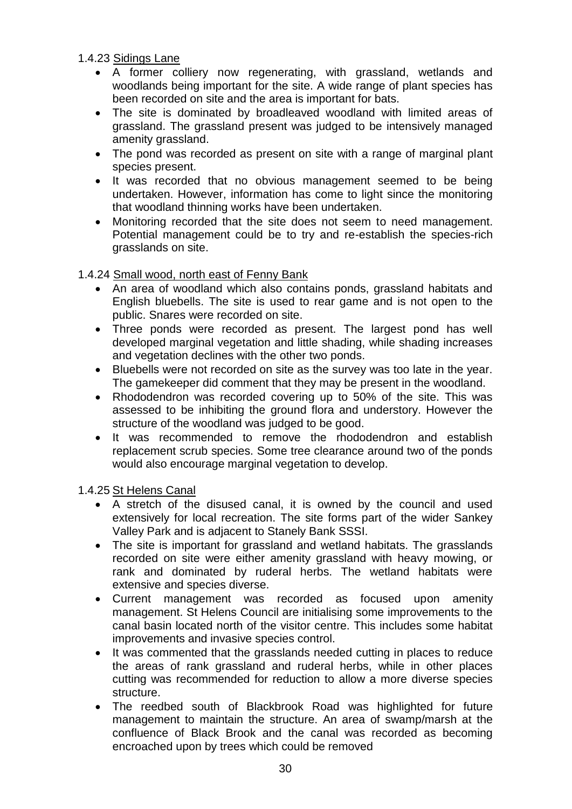1.4.23 Sidings Lane

- A former colliery now regenerating, with grassland, wetlands and woodlands being important for the site. A wide range of plant species has been recorded on site and the area is important for bats.
- The site is dominated by broadleaved woodland with limited areas of grassland. The grassland present was judged to be intensively managed amenity grassland.
- The pond was recorded as present on site with a range of marginal plant species present.
- It was recorded that no obvious management seemed to be being undertaken. However, information has come to light since the monitoring that woodland thinning works have been undertaken.
- Monitoring recorded that the site does not seem to need management. Potential management could be to try and re-establish the species-rich grasslands on site.

# 1.4.24 Small wood, north east of Fenny Bank

- An area of woodland which also contains ponds, grassland habitats and English bluebells. The site is used to rear game and is not open to the public. Snares were recorded on site.
- Three ponds were recorded as present. The largest pond has well developed marginal vegetation and little shading, while shading increases and vegetation declines with the other two ponds.
- Bluebells were not recorded on site as the survey was too late in the year. The gamekeeper did comment that they may be present in the woodland.
- Rhododendron was recorded covering up to 50% of the site. This was assessed to be inhibiting the ground flora and understory. However the structure of the woodland was judged to be good.
- It was recommended to remove the rhododendron and establish replacement scrub species. Some tree clearance around two of the ponds would also encourage marginal vegetation to develop.

1.4.25 St Helens Canal

- A stretch of the disused canal, it is owned by the council and used extensively for local recreation. The site forms part of the wider Sankey Valley Park and is adjacent to Stanely Bank SSSI.
- The site is important for grassland and wetland habitats. The grasslands recorded on site were either amenity grassland with heavy mowing, or rank and dominated by ruderal herbs. The wetland habitats were extensive and species diverse.
- Current management was recorded as focused upon amenity management. St Helens Council are initialising some improvements to the canal basin located north of the visitor centre. This includes some habitat improvements and invasive species control.
- It was commented that the grasslands needed cutting in places to reduce the areas of rank grassland and ruderal herbs, while in other places cutting was recommended for reduction to allow a more diverse species structure.
- The reedbed south of Blackbrook Road was highlighted for future management to maintain the structure. An area of swamp/marsh at the confluence of Black Brook and the canal was recorded as becoming encroached upon by trees which could be removed